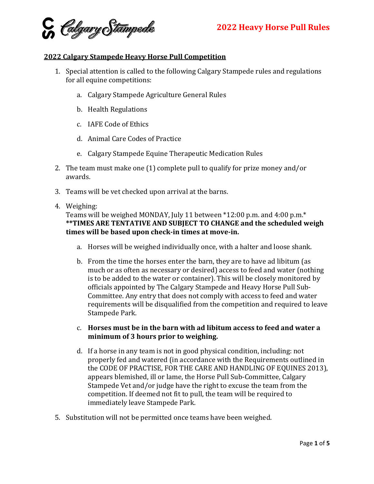

## **2022 Calgary Stampede Heavy Horse Pull Competition**

- 1. Special attention is called to the following Calgary Stampede rules and regulations for all equine competitions:
	- a. Calgary Stampede Agriculture General Rules
	- b. Health Regulations
	- c. IAFE Code of Ethics
	- d. Animal Care Codes of Practice
	- e. Calgary Stampede Equine Therapeutic Medication Rules
- 2. The team must make one (1) complete pull to qualify for prize money and/or awards.
- 3. Teams will be vet checked upon arrival at the barns.
- 4. Weighing:

## Teams will be weighed MONDAY, July 11 between \*12:00 p.m. and 4:00 p.m.\* **\*\*TIMES ARE TENTATIVE AND SUBJECT TO CHANGE and the scheduled weigh times will be based upon check-in times at move-in.**

- a. Horses will be weighed individually once, with a halter and loose shank.
- b. From the time the horses enter the barn, they are to have ad libitum (as much or as often as necessary or desired) access to feed and water (nothing is to be added to the water or container). This will be closely monitored by officials appointed by The Calgary Stampede and Heavy Horse Pull Sub-Committee. Any entry that does not comply with access to feed and water requirements will be disqualified from the competition and required to leave Stampede Park.
- c. **Horses must be in the barn with ad libitum access to feed and water a minimum of 3 hours prior to weighing.**
- d. If a horse in any team is not in good physical condition, including: not properly fed and watered (in accordance with the Requirements outlined in the CODE OF PRACTISE, FOR THE CARE AND HANDLING OF EQUINES 2013), appears blemished, ill or lame, the Horse Pull Sub-Committee, Calgary Stampede Vet and/or judge have the right to excuse the team from the competition. If deemed not fit to pull, the team will be required to immediately leave Stampede Park.
- 5. Substitution will not be permitted once teams have been weighed.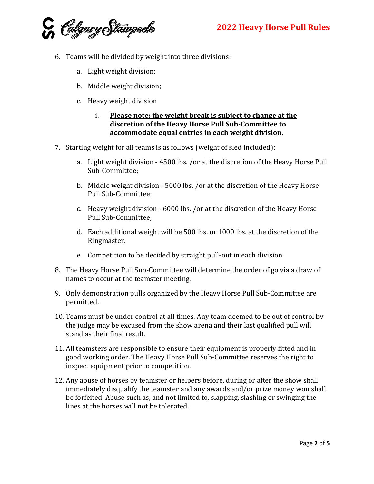C *Colgary* Stampede

- 6. Teams will be divided by weight into three divisions:
	- a. Light weight division;
	- b. Middle weight division;
	- c. Heavy weight division
		- i. **Please note: the weight break is subject to change at the discretion of the Heavy Horse Pull Sub-Committee to accommodate equal entries in each weight division.**
- 7. Starting weight for all teams is as follows (weight of sled included):
	- a. Light weight division 4500 lbs. /or at the discretion of the Heavy Horse Pull Sub-Committee;
	- b. Middle weight division 5000 lbs. /or at the discretion of the Heavy Horse Pull Sub-Committee;
	- c. Heavy weight division 6000 lbs. /or at the discretion of the Heavy Horse Pull Sub-Committee;
	- d. Each additional weight will be 500 lbs. or 1000 lbs. at the discretion of the Ringmaster.
	- e. Competition to be decided by straight pull-out in each division.
- 8. The Heavy Horse Pull Sub-Committee will determine the order of go via a draw of names to occur at the teamster meeting.
- 9. Only demonstration pulls organized by the Heavy Horse Pull Sub-Committee are permitted.
- 10. Teams must be under control at all times. Any team deemed to be out of control by the judge may be excused from the show arena and their last qualified pull will stand as their final result.
- 11. All teamsters are responsible to ensure their equipment is properly fitted and in good working order. The Heavy Horse Pull Sub-Committee reserves the right to inspect equipment prior to competition.
- 12. Any abuse of horses by teamster or helpers before, during or after the show shall immediately disqualify the teamster and any awards and/or prize money won shall be forfeited. Abuse such as, and not limited to, slapping, slashing or swinging the lines at the horses will not be tolerated.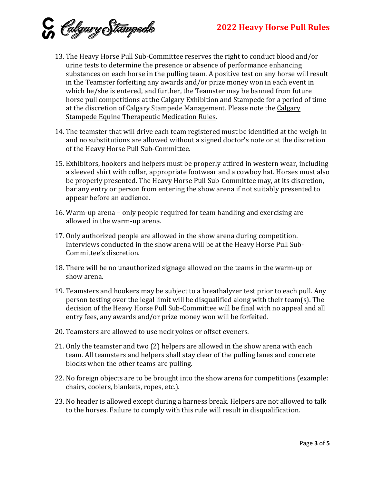C Calgary Stampede

- 13. The Heavy Horse Pull Sub-Committee reserves the right to conduct blood and/or urine tests to determine the presence or absence of performance enhancing substances on each horse in the pulling team. A positive test on any horse will result in the Teamster forfeiting any awards and/or prize money won in each event in which he/she is entered, and further, the Teamster may be banned from future horse pull competitions at the Calgary Exhibition and Stampede for a period of time at the discretion of Calgary Stampede Management. Please note the Calgary Stampede Equine Therapeutic Medication Rules.
- 14. The teamster that will drive each team registered must be identified at the weigh-in and no substitutions are allowed without a signed doctor's note or at the discretion of the Heavy Horse Pull Sub-Committee.
- 15. Exhibitors, hookers and helpers must be properly attired in western wear, including a sleeved shirt with collar, appropriate footwear and a cowboy hat. Horses must also be properly presented. The Heavy Horse Pull Sub-Committee may, at its discretion, bar any entry or person from entering the show arena if not suitably presented to appear before an audience.
- 16. Warm-up arena only people required for team handling and exercising are allowed in the warm-up arena.
- 17. Only authorized people are allowed in the show arena during competition. Interviews conducted in the show arena will be at the Heavy Horse Pull Sub-Committee's discretion.
- 18. There will be no unauthorized signage allowed on the teams in the warm-up or show arena.
- 19. Teamsters and hookers may be subject to a breathalyzer test prior to each pull. Any person testing over the legal limit will be disqualified along with their team(s). The decision of the Heavy Horse Pull Sub-Committee will be final with no appeal and all entry fees, any awards and/or prize money won will be forfeited.
- 20. Teamsters are allowed to use neck yokes or offset eveners.
- 21. Only the teamster and two (2) helpers are allowed in the show arena with each team. All teamsters and helpers shall stay clear of the pulling lanes and concrete blocks when the other teams are pulling.
- 22. No foreign objects are to be brought into the show arena for competitions (example: chairs, coolers, blankets, ropes, etc.).
- 23. No header is allowed except during a harness break. Helpers are not allowed to talk to the horses. Failure to comply with this rule will result in disqualification.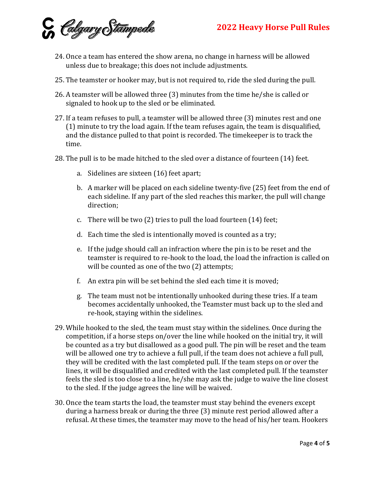

- 24. Once a team has entered the show arena, no change in harness will be allowed unless due to breakage; this does not include adjustments.
- 25. The teamster or hooker may, but is not required to, ride the sled during the pull.
- 26. A teamster will be allowed three (3) minutes from the time he/she is called or signaled to hook up to the sled or be eliminated.
- 27. If a team refuses to pull, a teamster will be allowed three (3) minutes rest and one (1) minute to try the load again. If the team refuses again, the team is disqualified, and the distance pulled to that point is recorded. The timekeeper is to track the time.
- 28. The pull is to be made hitched to the sled over a distance of fourteen (14) feet.
	- a. Sidelines are sixteen (16) feet apart;
	- b. A marker will be placed on each sideline twenty-five (25) feet from the end of each sideline. If any part of the sled reaches this marker, the pull will change direction;
	- c. There will be two (2) tries to pull the load fourteen (14) feet;
	- d. Each time the sled is intentionally moved is counted as a try;
	- e. If the judge should call an infraction where the pin is to be reset and the teamster is required to re-hook to the load, the load the infraction is called on will be counted as one of the two  $(2)$  attempts;
	- f. An extra pin will be set behind the sled each time it is moved;
	- g. The team must not be intentionally unhooked during these tries. If a team becomes accidentally unhooked, the Teamster must back up to the sled and re-hook, staying within the sidelines.
- 29. While hooked to the sled, the team must stay within the sidelines. Once during the competition, if a horse steps on/over the line while hooked on the initial try, it will be counted as a try but disallowed as a good pull. The pin will be reset and the team will be allowed one try to achieve a full pull, if the team does not achieve a full pull, they will be credited with the last completed pull. If the team steps on or over the lines, it will be disqualified and credited with the last completed pull. If the teamster feels the sled is too close to a line, he/she may ask the judge to waive the line closest to the sled. If the judge agrees the line will be waived.
- 30. Once the team starts the load, the teamster must stay behind the eveners except during a harness break or during the three (3) minute rest period allowed after a refusal. At these times, the teamster may move to the head of his/her team. Hookers